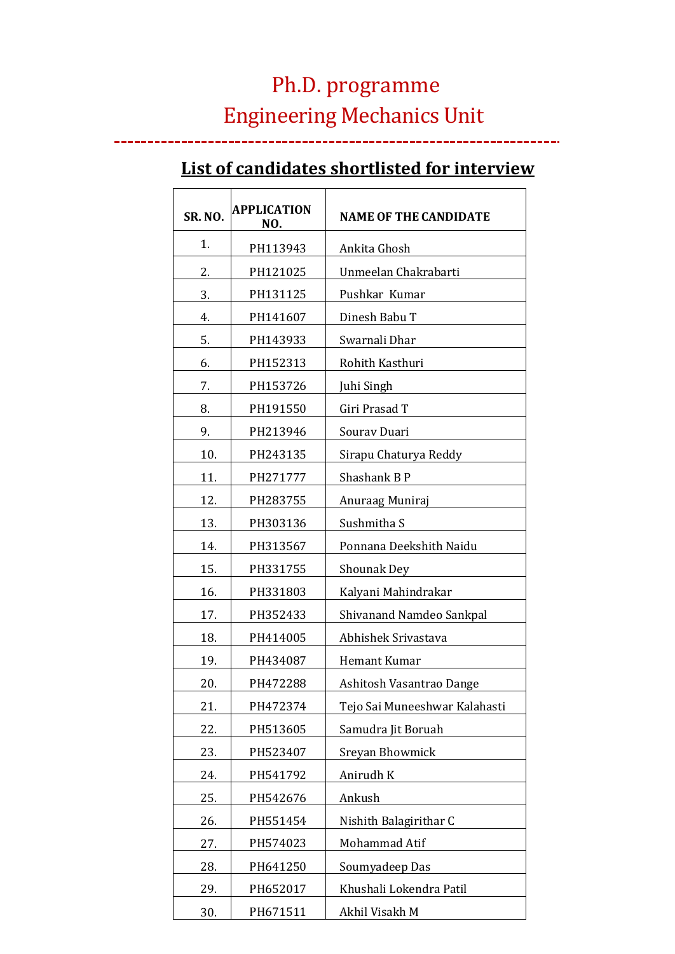## Ph.D. programme Engineering Mechanics Unit

| <b>SR. NO.</b> | APPLICATION<br>NO. | <b>NAME OF THE CANDIDATE</b>  |
|----------------|--------------------|-------------------------------|
| 1.             | PH113943           | Ankita Ghosh                  |
| 2.             | PH121025           | Unmeelan Chakrabarti          |
| 3.             | PH131125           | Pushkar Kumar                 |
| 4.             | PH141607           | Dinesh Babu T                 |
| 5.             | PH143933           | Swarnali Dhar                 |
| 6.             | PH152313           | Rohith Kasthuri               |
| 7.             | PH153726           | Juhi Singh                    |
| 8.             | PH191550           | Giri Prasad T                 |
| 9.             | PH213946           | Sourav Duari                  |
| 10.            | PH243135           | Sirapu Chaturya Reddy         |
| 11.            | PH271777           | Shashank B P                  |
| 12.            | PH283755           | Anuraag Muniraj               |
| 13.            | PH303136           | Sushmitha S                   |
| 14.            | PH313567           | Ponnana Deekshith Naidu       |
| 15.            | PH331755           | <b>Shounak Dey</b>            |
| 16.            | PH331803           | Kalyani Mahindrakar           |
| 17.            | PH352433           | Shivanand Namdeo Sankpal      |
| 18.            | PH414005           | Abhishek Srivastava           |
| 19.            | PH434087           | Hemant Kumar                  |
| 20.            | PH472288           | Ashitosh Vasantrao Dange      |
| 21.            | PH472374           | Tejo Sai Muneeshwar Kalahasti |
| 22.            | PH513605           | Samudra Jit Boruah            |
| 23.            | PH523407           | Sreyan Bhowmick               |
| 24.            | PH541792           | Anirudh K                     |
| 25.            | PH542676           | Ankush                        |
| 26.            | PH551454           | Nishith Balagirithar C        |
| 27.            | PH574023           | Mohammad Atif                 |
| 28.            | PH641250           | Soumyadeep Das                |
| 29.            | PH652017           | Khushali Lokendra Patil       |
| 30.            | PH671511           | Akhil Visakh M                |

## **List of candidates shortlisted for interview**

\_\_\_\_\_\_\_